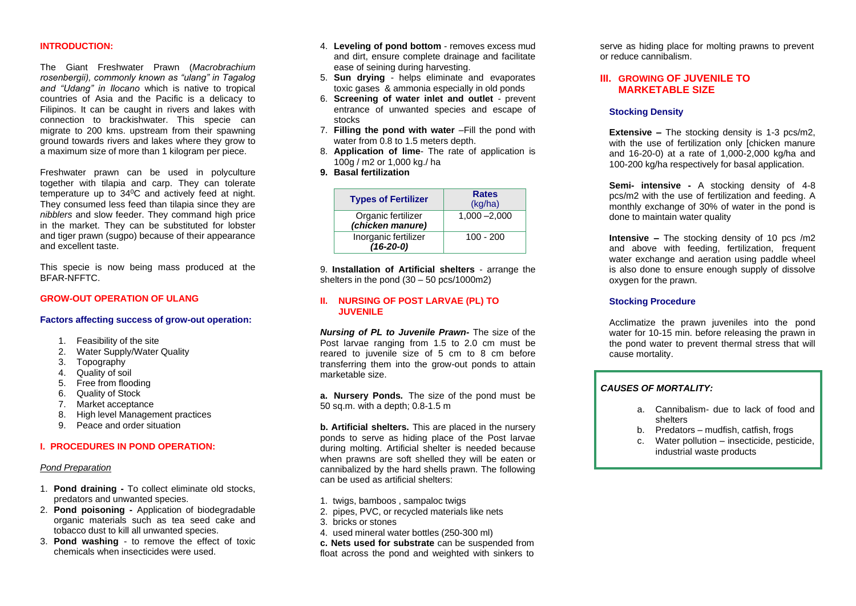## **INTRODUCTION:**

The Giant Freshwater Prawn (*Macrobrachium rosenbergii), commonly known as "ulang" in Tagalog and "Udang" in Ilocano* which is native to tropical countries of Asia and the Pacific is a delicacy to Filipinos. It can be caught in rivers and lakes with connection to brackishwater. This specie can migrate to 200 kms. upstream from their spawning ground towards rivers and lakes where they grow to a maximum size of more than 1 kilogram per piece.

Freshwater prawn can be used in polyculture together with tilapia and carp. They can tolerate temperature up to 34<sup>0</sup>C and actively feed at night. They consumed less feed than tilapia since they are *nibblers* and slow feeder. They command high price in the market. They can be substituted for lobster and tiger prawn (sugpo) because of their appearance and excellent taste.

This specie is now being mass produced at the BFAR-NFFTC.

## **GROW-OUT OPERATION OF ULANG**

#### **Factors affecting success of grow-out operation:**

- 1. Feasibility of the site
- 2. Water Supply/Water Quality
- 3. Topography
- 4. Quality of soil
- 5. Free from flooding
- 6. Quality of Stock
- 7. Market acceptance
- 8. High level Management practices
- 9. Peace and order situation

# **I. PROCEDURES IN POND OPERATION:**

#### *Pond Preparation*

- 1. **Pond draining -** To collect eliminate old stocks, predators and unwanted species.
- 2. **Pond poisoning -** Application of biodegradable organic materials such as tea seed cake and tobacco dust to kill all unwanted species.
- 3. **Pond washing**  to remove the effect of toxic chemicals when insecticides were used.
- 4. **Leveling of pond bottom**  removes excess mud and dirt, ensure complete drainage and facilitate ease of seining during harvesting.
- 5. **Sun drying** helps eliminate and evaporates toxic gases & ammonia especially in old ponds
- 6. **Screening of water inlet and outlet**  prevent entrance of unwanted species and escape of stocks
- 7. **Filling the pond with water** –Fill the pond with water from 0.8 to 1.5 meters depth.
- 8. **Application of lime** The rate of application is 100g / m2 or 1,000 kg./ ha
- **9. Basal fertilization**

| <b>Types of Fertilizer</b>             | <b>Rates</b><br>(kg/ha) |  |
|----------------------------------------|-------------------------|--|
| Organic fertilizer<br>(chicken manure) | $1,000 - 2,000$         |  |
| Inorganic fertilizer<br>$(16-20-0)$    | $100 - 200$             |  |

9. **Installation of Artificial shelters** - arrange the shelters in the pond (30 – 50 pcs/1000m2)

## **II. NURSING OF POST LARVAE (PL) TO JUVENILE**

*Nursing of PL to Juvenile Prawn-* The size of the Post larvae ranging from 1.5 to 2.0 cm must be reared to juvenile size of 5 cm to 8 cm before transferring them into the grow-out ponds to attain marketable size.

**a. Nursery Ponds***.* The size of the pond must be 50 sq.m. with a depth; 0.8-1.5 m

**b. Artificial shelters.** This are placed in the nursery ponds to serve as hiding place of the Post larvae during molting. Artificial shelter is needed because when prawns are soft shelled they will be eaten or cannibalized by the hard shells prawn. The following can be used as artificial shelters:

- 1. twigs, bamboos , sampaloc twigs
- 2. pipes, PVC, or recycled materials like nets
- 3. bricks or stones
- 4. used mineral water bottles (250-300 ml)

**c. Nets used for substrate** can be suspended from float across the pond and weighted with sinkers to

serve as hiding place for molting prawns to prevent or reduce cannibalism.

# **III. GROWING OF JUVENILE TO MARKETABLE SIZE**

#### **Stocking Density**

**Extensive –** The stocking density is 1-3 pcs/m2, with the use of fertilization only *chicken* manure and 16-20-0) at a rate of 1,000-2,000 kg/ha and 100-200 kg/ha respectively for basal application.

**Semi- intensive -** A stocking density of 4-8 pcs/m2 with the use of fertilization and feeding. A monthly exchange of 30% of water in the pond is done to maintain water quality

**Intensive –** The stocking density of 10 pcs /m2 and above with feeding, fertilization, frequent water exchange and aeration using paddle wheel is also done to ensure enough supply of dissolve oxygen for the prawn.

## **Stocking Procedure**

Acclimatize the prawn juveniles into the pond water for 10-15 min. before releasing the prawn in the pond water to prevent thermal stress that will cause mortality.

## *CAUSES OF MORTALITY:*

- a. Cannibalism- due to lack of food and shelters
- b. Predators mudfish, catfish, frogs
- c. Water pollution insecticide, pesticide, industrial waste products